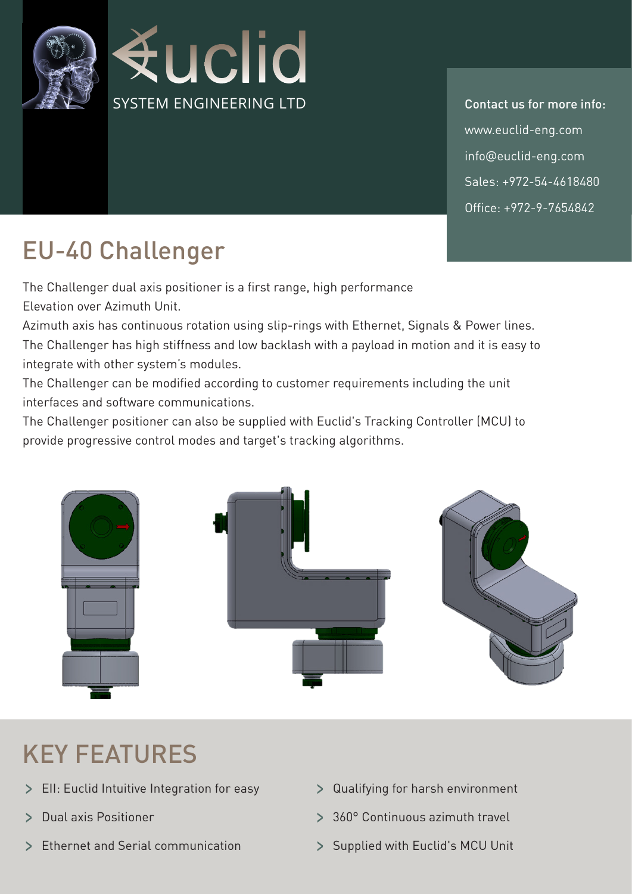

info@euclid-eng.com  $Sales: +972-54-4618480$ Office: +972-9-7654842 www.euclid-eng.com Contact us for more info:

## EU-40 Challenger

The Challenger dual axis positioner is a first range, high performance Elevation over Azimuth Unit.

Azimuth axis has continuous rotation using slip-rings with Ethernet, Signals & Power lines. The Challenger has high stiffness and low backlash with a payload in motion and it is easy to integrate with other system's modules.

The Challenger can be modified according to customer requirements including the unit interfaces and software communications

The Challenger positioner can also be supplied with Euclid's Tracking Controller (MCU) to provide progressive control modes and target's tracking algorithms.



## **KEY FEATURES**

- Integrative integration for easy **Figure 2** Qualifying for harsh environment
- 
- > Ethernet and Serial communication > Supplied with Euclid's MCU Unit
- 
- travel and axis Positioner and Continuous azimuth travel
	-